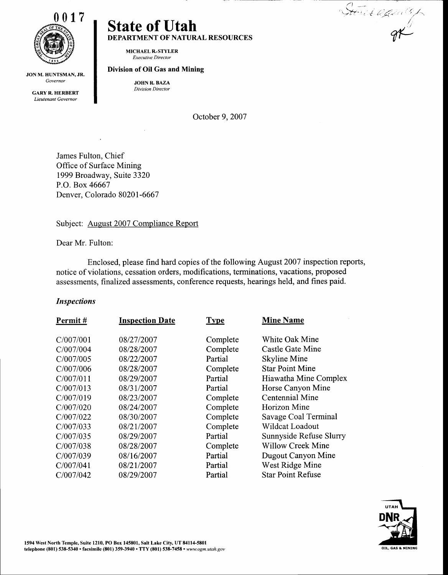

JON M. HUNTSMAN, JR. Governor

**GARY R. HERBERT** Lieutenant Governor

# State of Utah DEPARTMENT OF NATURAL RESOURCES

MICHAEL R..STYLER Executive Director

#### Division of Oil Gas and Mining

JOHN R. BAZA Division Director

October 9, 2007

James Fulton, Chief Office of Surface Mining 1999 Broadway, Suite 3320 P.O. Box 46667 Denver, Colorado 80201-6667

Subject: August 2007 Compliance Report

Dear Mr. Fulton:

Enclosed, please find hard copies of the following August2007 inspection reports, notice of violations, cessation orders, modifications, terminations, vacations, proposed assessments, finalized assessments, conference requests, hearings held, and fines paid.

#### Inspections

| <b>Inspection Date</b> | <b>Type</b> | <b>Mine Name</b>         |
|------------------------|-------------|--------------------------|
| 08/27/2007             | Complete    | White Oak Mine           |
| 08/28/2007             | Complete    | Castle Gate Mine         |
| 08/22/2007             | Partial     | Skyline Mine             |
| 08/28/2007             | Complete    | <b>Star Point Mine</b>   |
| 08/29/2007             | Partial     | Hiawatha Mine Complex    |
| 08/31/2007             | Partial     | Horse Canyon Mine        |
| 08/23/2007             | Complete    | Centennial Mine          |
| 08/24/2007             | Complete    | Horizon Mine             |
| 08/30/2007             | Complete    | Savage Coal Terminal     |
| 08/21/2007             | Complete    | Wildcat Loadout          |
| 08/29/2007             | Partial     | Sunnyside Refuse Slurry  |
| 08/28/2007             | Complete    | <b>Willow Creek Mine</b> |
| 08/16/2007             | Partial     | Dugout Canyon Mine       |
| 08/21/2007             | Partial     | West Ridge Mine          |
| 08/29/2007             | Partial     | <b>Star Point Refuse</b> |
|                        |             |                          |



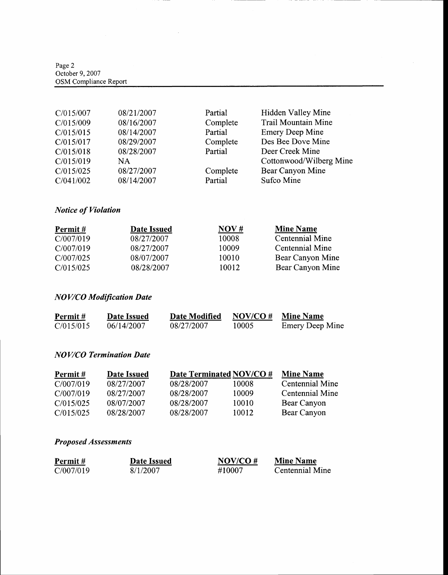Page 2 October 9,2007 OSM Compliance Report

| C/015/007 | 08/21/2007 | Partial  | Hidden Valley Mine         |
|-----------|------------|----------|----------------------------|
| C/015/009 | 08/16/2007 | Complete | <b>Trail Mountain Mine</b> |
| C/015/015 | 08/14/2007 | Partial  | <b>Emery Deep Mine</b>     |
| C/015/017 | 08/29/2007 | Complete | Des Bee Dove Mine          |
| C/015/018 | 08/28/2007 | Partial  | Deer Creek Mine            |
| C/015/019 | <b>NA</b>  |          | Cottonwood/Wilberg Mine    |
| C/015/025 | 08/27/2007 | Complete | Bear Canyon Mine           |
| C/041/002 | 08/14/2007 | Partial  | Sufco Mine                 |

 $\hat{\boldsymbol{\beta}}$ 

## Notice of Violation

| Permit#   | Date Issued | NOV#  | <b>Mine Name</b> |
|-----------|-------------|-------|------------------|
| C/007/019 | 08/27/2007  | 10008 | Centennial Mine  |
| C/007/019 | 08/27/2007  | 10009 | Centennial Mine  |
| C/007/025 | 08/07/2007  | 10010 | Bear Canyon Mine |
| C/015/025 | 08/28/2007  | 10012 | Bear Canyon Mine |

## NOV/CO Modification Date

| Permit #  | Date Issued | Date Modified | $NOV/CO \#$ | <b>Mine Name</b> |
|-----------|-------------|---------------|-------------|------------------|
| C/015/015 | 06/14/2007  | 08/27/2007    | 10005       | Emery Deep Mine  |

### NOV/CO Termination Date

| Permit#   | Date Issued |            | Date Terminated NOV/CO # | <b>Mine Name</b> |
|-----------|-------------|------------|--------------------------|------------------|
| C/007/019 | 08/27/2007  | 08/28/2007 | 10008                    | Centennial Mine  |
| C/007/019 | 08/27/2007  | 08/28/2007 | 10009                    | Centennial Mine  |
| C/015/025 | 08/07/2007  | 08/28/2007 | 10010                    | Bear Canyon      |
| C/015/025 | 08/28/2007  | 08/28/2007 | 10012                    | Bear Canyon      |

### Proposed Assessments

| Permit#   | Date Issued | NOV/CO $#$ | <b>Mine Name</b> |
|-----------|-------------|------------|------------------|
| C/007/019 | 8/1/2007    | #10007     | Centennial Mine  |